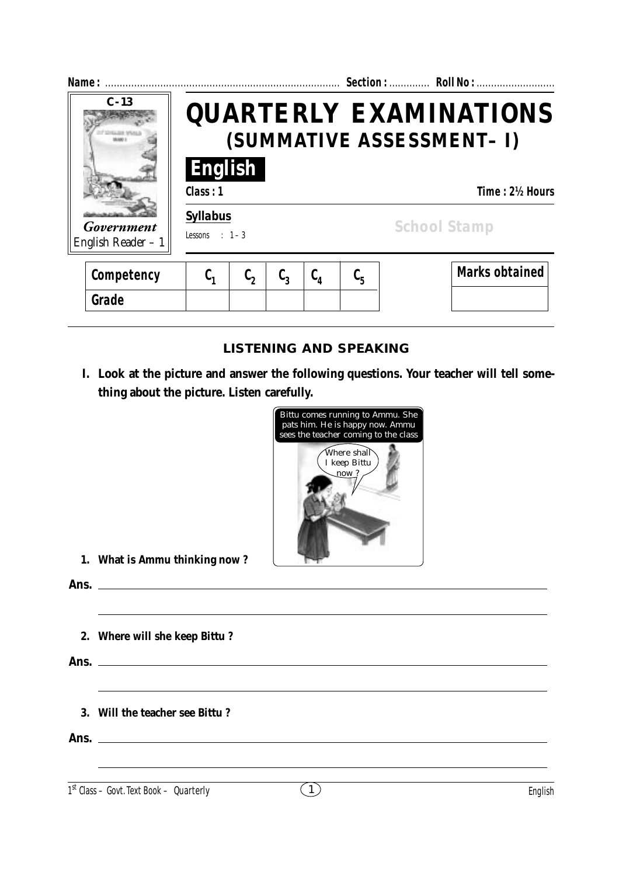| Name:                            |                                                            | Section:  Roll No : |                  |               |         |                     |                       |  |  |
|----------------------------------|------------------------------------------------------------|---------------------|------------------|---------------|---------|---------------------|-----------------------|--|--|
| $C - 13$                         | <b>QUARTERLY EXAMINATIONS</b><br>(SUMMATIVE ASSESSMENT- I) |                     |                  |               |         |                     |                       |  |  |
|                                  | English<br>Class: 1                                        |                     |                  |               |         |                     | Time: 2½ Hours        |  |  |
| Government<br>English Reader - 1 | <b>Syllabus</b><br>Lessons : $1-3$                         |                     |                  |               |         | <b>School Stamp</b> |                       |  |  |
| Competency                       | $\mathfrak{c}_1$                                           | $\mathfrak{c}_2$    | $\mathfrak{c}_3$ | $C_{\Lambda}$ | $C_{5}$ |                     | <b>Marks obtained</b> |  |  |
| Grade                            |                                                            |                     |                  |               |         |                     |                       |  |  |

## **LISTENING AND SPEAKING**

**I. Look at the picture and answer the following questions. Your teacher will tell something about the picture. Listen carefully.**



**1. What is Ammu thinking now ?**

**Ans.**

**2. Where will she keep Bittu ?**

**Ans.**

**3. Will the teacher see Bittu ?**

**Ans.**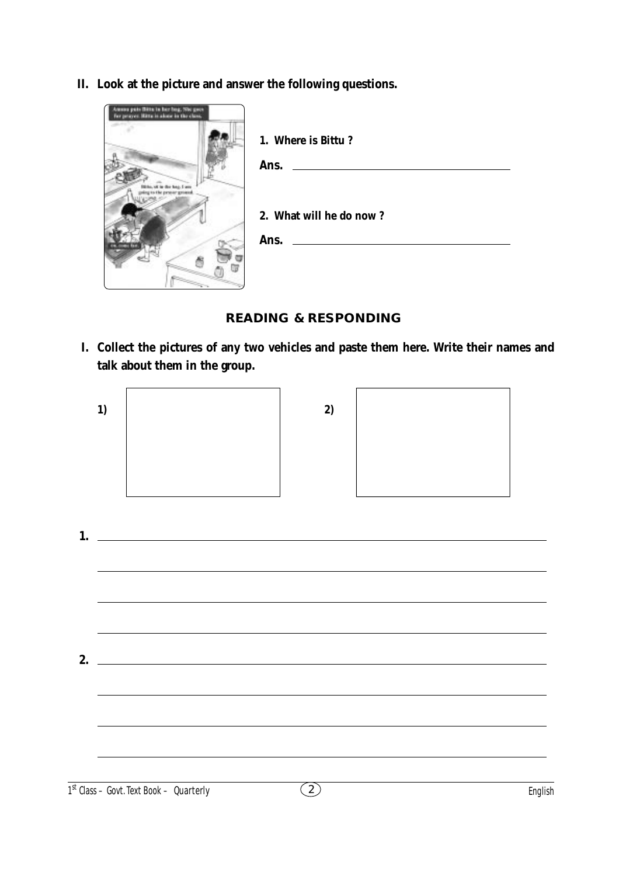**II. Look at the picture and answer the following questions.**



 **READING & RESPONDING**

**I. Collect the pictures of any two vehicles and paste them here. Write their names and talk about them in the group.**



**1. 2.**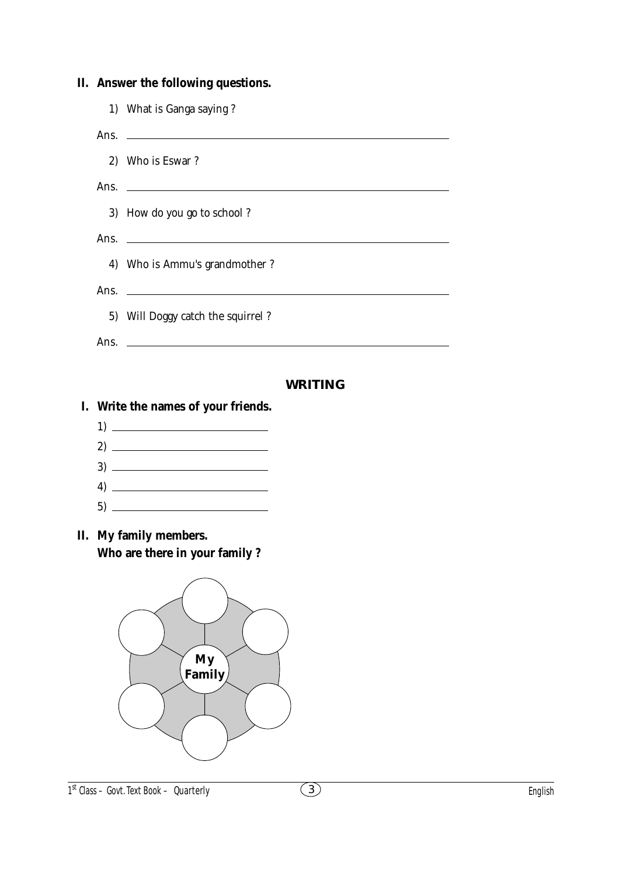|    |      | II. Answer the following questions.                                                                                   |  |  |  |  |  |  |  |  |
|----|------|-----------------------------------------------------------------------------------------------------------------------|--|--|--|--|--|--|--|--|
|    |      | 1) What is Ganga saying?                                                                                              |  |  |  |  |  |  |  |  |
|    | Ans. | <u> 1989 - Andrea Stadt, fransk politiker (d. 1989)</u>                                                               |  |  |  |  |  |  |  |  |
|    |      | 2) Who is Eswar?                                                                                                      |  |  |  |  |  |  |  |  |
|    | Ans. | <u> 1989 - Andrea Andrew Maria (h. 1989).</u>                                                                         |  |  |  |  |  |  |  |  |
|    |      | 3) How do you go to school?                                                                                           |  |  |  |  |  |  |  |  |
|    | Ans. | <u> 1989 - Johann Barbara, martin amerikan basal dan berasal dan berasal dalam basal dan berasal dalam berasal da</u> |  |  |  |  |  |  |  |  |
|    |      | 4) Who is Ammu's grandmother?                                                                                         |  |  |  |  |  |  |  |  |
|    | Ans. | <u> 1989 - Johann Harry Harry Harry Harry Harry Harry Harry Harry Harry Harry Harry Harry Harry Harry Harry Harry</u> |  |  |  |  |  |  |  |  |
|    |      | 5) Will Doggy catch the squirrel?                                                                                     |  |  |  |  |  |  |  |  |
|    | Ans. | <u> 1989 - Johann Harry Harry Harry Harry Harry Harry Harry Harry Harry Harry Harry Harry Harry Harry Harry Harry</u> |  |  |  |  |  |  |  |  |
|    |      | <b>WRITING</b>                                                                                                        |  |  |  |  |  |  |  |  |
| I. |      | Write the names of your friends.                                                                                      |  |  |  |  |  |  |  |  |
|    |      | $\begin{tabular}{c} 1) \end{tabular}$                                                                                 |  |  |  |  |  |  |  |  |
|    |      |                                                                                                                       |  |  |  |  |  |  |  |  |
|    |      |                                                                                                                       |  |  |  |  |  |  |  |  |
|    |      |                                                                                                                       |  |  |  |  |  |  |  |  |
|    |      |                                                                                                                       |  |  |  |  |  |  |  |  |
| П. |      | My family members.<br>Who are there in your family?                                                                   |  |  |  |  |  |  |  |  |
|    |      |                                                                                                                       |  |  |  |  |  |  |  |  |